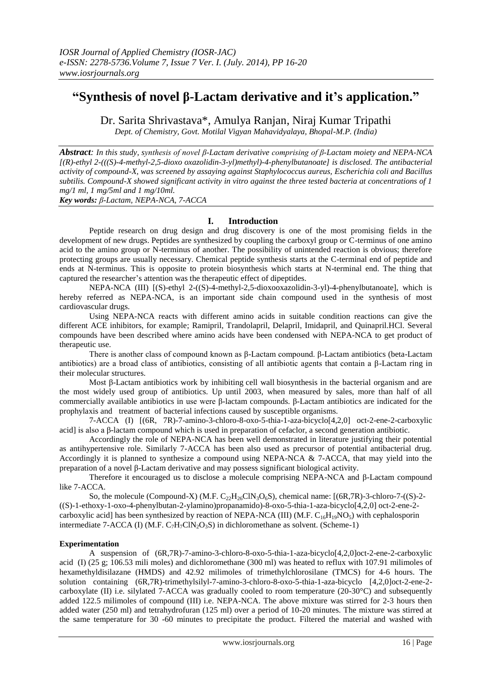# **"Synthesis of novel β-Lactam derivative and it's application."**

Dr. Sarita Shrivastava\*, Amulya Ranjan, Niraj Kumar Tripathi *Dept. of Chemistry, Govt. Motilal Vigyan Mahavidyalaya, Bhopal-M.P. (India)*

*Abstract: In this study, synthesis of novel β-Lactam derivative comprising of β-Lactam moiety and NEPA-NCA [(R)-ethyl 2-(((S)-4-methyl-2,5-dioxo oxazolidin-3-yl)methyl)-4-phenylbutanoate] is disclosed. The antibacterial activity of compound-X, was screened by assaying against Staphylococcus aureus, Escherichia coli and Bacillus subtilis. Compound-X showed significant activity in vitro against the three tested bacteria at concentrations of 1 mg/1 ml, 1 mg/5ml and 1 mg/10ml. Key words: β-Lactam, NEPA-NCA, 7-ACCA* 

# **I. Introduction**

Peptide research on drug design and drug discovery is one of the most promising fields in the development of new drugs. Peptides are synthesized by coupling the carboxyl group or C-terminus of one amino acid to the amino group or N-terminus of another. The possibility of unintended reaction is obvious; therefore protecting groups are usually necessary. Chemical peptide synthesis starts at the C-terminal end of peptide and ends at N-terminus. This is opposite to protein biosynthesis which starts at N-terminal end. The thing that captured the researcher's attention was the therapeutic effect of dipeptides.

NEPA-NCA (III) [(S)-ethyl 2-((S)-4-methyl-2,5-dioxooxazolidin-3-yl)-4-phenylbutanoate], which is hereby referred as NEPA-NCA, is an important side chain compound used in the synthesis of most cardiovascular drugs.

Using NEPA-NCA reacts with different amino acids in suitable condition reactions can give the different ACE inhibitors, for example; Ramipril, Trandolapril, Delapril, Imidapril, and Quinapril.HCl. Several compounds have been described where amino acids have been condensed with NEPA-NCA to get product of therapeutic use.

There is another class of compound known as β-Lactam compound. β-Lactam antibiotics (beta-Lactam antibiotics) are a broad class of antibiotics, consisting of all antibiotic agents that contain a β-Lactam ring in their molecular structures.

Most β-Lactam antibiotics work by inhibiting [cell wall](http://en.wikipedia.org/wiki/Cell_wall) biosynthesis in the bacterial organism and are the most widely used group of antibiotics. Up until 2003, when measured by sales, more than half of all commercially available antibiotics in use were β-lactam compounds. β-Lactam antibiotics are indicated for the [prophylaxis](http://en.wikipedia.org/wiki/Prophylaxis) and treatment of bacterial infections caused by susceptible organisms.

7-ACCA (I) [(6R, 7R)-7-amino-3-chloro-8-oxo-5-thia-1-aza-bicyclo[4,2,0] oct-2-ene-2-carboxylic acid] is also a β-lactam compound which is used in preparation of cefaclor, a second generation antibiotic.

Accordingly the role of NEPA-NCA has been well demonstrated in literature justifying their potential as antihypertensive role. Similarly 7-ACCA has been also used as precursor of potential antibacterial drug. Accordingly it is planned to synthesize a compound using NEPA-NCA  $& 7$ -ACCA, that may yield into the preparation of a novel β-Lactam derivative and may possess significant biological activity.

Therefore it encouraged us to disclose a molecule comprising NEPA-NCA and β-Lactam compound like 7-ACCA.

So, the molecule (Compound-X) (M.F.  $C_{22}H_{26}CIN_3O_6S$ ), chemical name: [(6R,7R)-3-chloro-7-((S)-2-((S)-1-ethoxy-1-oxo-4-phenylbutan-2-ylamino)propanamido)-8-oxo-5-thia-1-aza-bicyclo[4,2,0] oct-2-ene-2 carboxylic acid] has been synthesized by reaction of NEPA-NCA (III) (M.F.  $C_{16}H_{19}NO<sub>5</sub>$ ) with cephalosporin intermediate 7-ACCA (I) (M.F.  $C_7H_7CN_2O_3S$ ) in dichloromethane as solvent. (Scheme-1)

# **Experimentation**

A suspension of (6R,7R)-7-amino-3-chloro-8-oxo-5-thia-1-aza-bicyclo[4,2,0]oct-2-ene-2-carboxylic acid (I) (25 g; 106.53 mili moles) and dichloromethane (300 ml) was heated to reflux with 107.91 milimoles of hexamethyldisilazane (HMDS) and 42.92 milimoles of trimethylchlorosilane (TMCS) for 4-6 hours. The solution containing (6R,7R)-trimethylsilyl-7-amino-3-chloro-8-oxo-5-thia-1-aza-bicyclo [4,2,0]oct-2-ene-2 carboxylate (II) i.e. silylated 7-ACCA was gradually cooled to room temperature  $(20-30^{\circ}C)$  and subsequently added 122.5 milimoles of compound (III) i.e. NEPA-NCA. The above mixture was stirred for 2-3 hours then added water (250 ml) and tetrahydrofuran (125 ml) over a period of 10-20 minutes. The mixture was stirred at the same temperature for 30 -60 minutes to precipitate the product. Filtered the material and washed with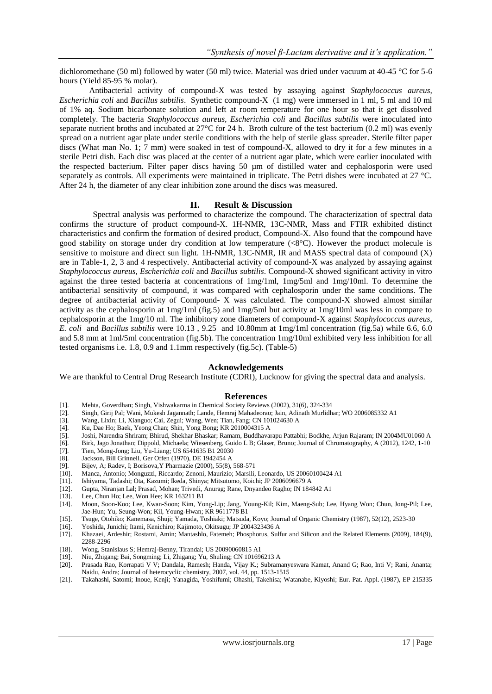dichloromethane (50 ml) followed by water (50 ml) twice. Material was dried under vacuum at 40-45 °C for 5-6 hours (Yield 85-95 % molar).

Antibacterial activity of compound-X was tested by assaying against *Staphylococcus aureus, Escherichia coli* and *Bacillus subtilis*. Synthetic compound-X (1 mg) were immersed in 1 ml, 5 ml and 10 ml of 1% aq. Sodium bicarbonate solution and left at room temperature for one hour so that it get dissolved completely. The bacteria *Staphylococcus aureus, Escherichia coli* and *Bacillus subtilis* were inoculated into separate nutrient broths and incubated at  $27^{\circ}$ C for 24 h. Broth culture of the test bacterium (0.2 ml) was evenly spread on a nutrient agar plate under sterile conditions with the help of sterile glass spreader. Sterile filter paper discs (What man No. 1; 7 mm) were soaked in test of compound-X, allowed to dry it for a few minutes in a sterile Petri dish. Each disc was placed at the center of a nutrient agar plate, which were earlier inoculated with the respected bacterium. Filter paper discs having 50 µm of distilled water and cephalosporin were used separately as controls. All experiments were maintained in triplicate. The Petri dishes were incubated at 27 °C. After 24 h, the diameter of any clear inhibition zone around the discs was measured.

### **II. Result & Discussion**

Spectral analysis was performed to characterize the compound. The characterization of spectral data confirms the structure of product compound-X. 1H-NMR, 13C-NMR, Mass and FTIR exhibited distinct characteristics and confirm the formation of desired product, Compound-X. Also found that the compound have good stability on storage under dry condition at low temperature  $(<8^{\circ}C$ ). However the product molecule is sensitive to moisture and direct sun light. 1H-NMR, 13C-NMR, IR and MASS spectral data of compound (X) are in Table-1, 2, 3 and 4 respectively. Antibacterial activity of compound-X was analyzed by assaying against *Staphylococcus aureus, Escherichia coli* and *Bacillus subtilis*. Compound-X showed significant activity in vitro against the three tested bacteria at concentrations of 1mg/1ml, 1mg/5ml and 1mg/10ml. To determine the antibacterial sensitivity of compound, it was compared with cephalosporin under the same conditions. The degree of antibacterial activity of Compound- X was calculated. The compound-X showed almost similar activity as the cephalosporin at 1mg/1ml (fig.5) and 1mg/5ml but activity at 1mg/10ml was less in compare to cephalosporin at the 1mg/10 ml. The inhibitory zone diameters of compound-X against *Staphylococcus aureus, E. coli* and *Bacillus subtilis* were 10.13 , 9.25 and 10.80mm at 1mg/1ml concentration (fig.5a) while 6.6, 6.0 and 5.8 mm at 1ml/5ml concentration (fig.5b). The concentration 1mg/10ml exhibited very less inhibition for all tested organisms i.e. 1.8, 0.9 and 1.1mm respectively (fig.5c). (Table-5)

#### **Acknowledgements**

We are thankful to Central Drug Research Institute (CDRI), Lucknow for giving the spectral data and analysis.

#### **References**

- [1]. Mehta, Goverdhan; Singh, Vishwakarma in Chemical Society Reviews (2002), 31(6), 324-334
- [2]. Singh, Girij Pal; Wani, Mukesh Jagannath; Lande, Hemraj Mahadeorao; Jain, Adinath Murlidhar; WO 2006085332 A1
- [3]. Wang, Lixin; Li, Xianguo; Cai, Zegui; Wang, Wen; Tian, Fang; CN 101024630 A
- [4]. Ku, Dae Ho; Baek, Yeong Chan; Shin, Yong Bong; KR 2010004315 A
- [5]. Joshi, Narendra Shriram; Bhirud, Shekhar Bhaskar; Ramam, Buddhavarapu Pattabhi; Bodkhe, Arjun Rajaram; IN 2004MU01060 A
- [6]. Birk, Jago Jonathan; Dippold, Michaela; Wiesenberg, Guido L B; Glaser, Bruno; Journal of Chromatography, A (2012), 1242, 1-10
- 
- [7]. Tien, Mong-Jong; Liu, Yu-Liang; US 6541635 B1 20030<br>[8]. Jackson, Bill Grinnell, Ger Offen (1970), DE 1942454 A Jackson, Bill Grinnell, Ger Offen (1970), DE 1942454 A
- [9]. Bijev, A; Radev, I; Borisova,Y Pharmazie (2000), 55(8), 568-571
- [10]. Manca, Antonio; Monguzzi, Riccardo; Zenoni, Maurizio; Marsili, Leonardo, US 20060100424 A1
- [11]. Ishiyama, Tadashi; Ota, Kazumi; Ikeda, Shinya; Mitsutomo, Koichi; JP 2006096679 A
- [12]. Gupta, Niranjan Lal; Prasad, Mohan; Trivedi, Anurag; Rane, Dnyandeo Ragho; IN 184842 A1
- [13]. Lee, Chun Ho; Lee, Won Hee; KR 163211 B1
- [14]. Moon, Soon-Koo; Lee, Kwan-Soon; Kim, Yong-Lip; Jang, Young-Kil; Kim, Maeng-Sub; Lee, Hyang Won; Chun, Jong-Pil; Lee, Jae-Hun; Yu, Seung-Won; Kil, Young-Hwan; KR 9611778 B1
- [15]. Tsuge, Otohiko; Kanemasa, Shuji; Yamada, Toshiaki; Matsuda, Koyo; Journal of Organic Chemistry (1987), 52(12), 2523-30
- [16]. Yoshida, Junichi; Itami, Kenichiro; Kajimoto, Okitsugu; JP 2004323436 A<br>[17]. Khazaei, Ardeshir; Rostami, Amin; Mantashlo, Fatemeh; Phosphorus, Suli
- Khazaei, Ardeshir; Rostami, Amin; Mantashlo, Fatemeh; Phosphorus, Sulfur and Silicon and the Related Elements (2009), 184(9), 2288-2296
- [18]. Wong, Stanislaus S; Hemraj-Benny, Tirandai; US 20090060815 A1
- [19]. Niu, Zhigang; Bai, Songming; Li, Zhigang; Yu, Shuling; CN 101696213 A
- [20]. Prasada Rao, Korrapati V V; Dandala, Ramesh; Handa, Vijay K.; Subramanyeswara Kamat, Anand G; Rao, Inti V; Rani, Ananta; Naidu, Andra; Journal of heterocyclic chemistry, 2007, vol. 44, pp. 1513-1515
- [21]. Takahashi, Satomi; Inoue, Kenji; Yanagida, Yoshifumi; Ohashi, Takehisa; Watanabe, Kiyoshi; Eur. Pat. Appl. (1987), EP 215335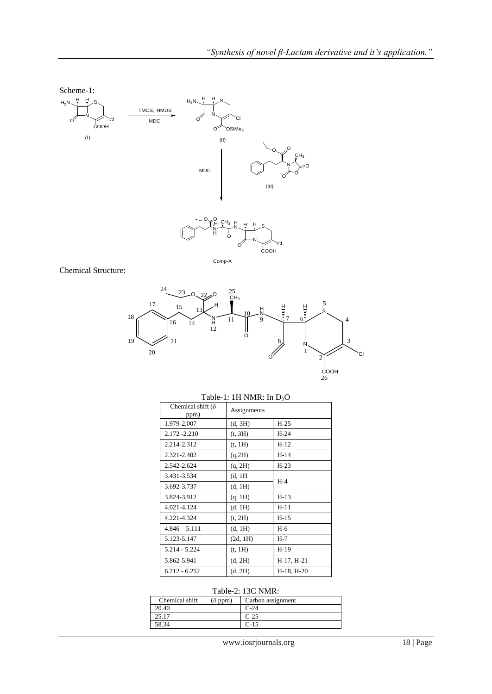

Comp-X

Chemical Structure:



| $1000 \text{ K}$ . $11111001$ $1000$ |             |            |  |  |
|--------------------------------------|-------------|------------|--|--|
| Chemical shift $(\delta)$<br>ppm)    | Assignments |            |  |  |
| 1.979-2.007                          | (d, 3H)     | $H-25$     |  |  |
| 2.172 - 2.210                        | (t, 3H)     | $H-24$     |  |  |
| 2.214-2.312                          | (t, 1H)     | $H-12$     |  |  |
| 2.321-2.402                          | (q, 2H)     | $H-14$     |  |  |
| 2.542-2.624                          | (q, 2H)     | $H-23$     |  |  |
| 3.431-3.534                          | (d, 1H)     |            |  |  |
| 3.692-3.737                          | (d, 1H)     | $H-4$      |  |  |
| 3.824-3.912                          | (q, 1H)     | $H-13$     |  |  |
| 4.021-4.124                          | (d, 1H)     | $H-11$     |  |  |
| 4.221-4.324                          | (t, 2H)     | $H-15$     |  |  |
| $4.846 - 5.111$                      | (d, 1H)     | $H-6$      |  |  |
| 5.123-5.147                          | (2d, 1H)    | H-7        |  |  |
| 5.214 - 5.224                        | (t, 1H)     | H-19       |  |  |
| 5.862-5.941                          | (d, 2H)     | H-17, H-21 |  |  |
| $6.212 - 6.252$                      | (d, 2H)     | H-18, H-20 |  |  |

## Table-1: 1H NMR $\cdot$  In D<sub>2</sub>O

# Table-2: 13C NMR:

| Chemical shift<br>$(\delta$ ppm) | Carbon assignment |  |  |
|----------------------------------|-------------------|--|--|
| 20.40                            | $C-24$            |  |  |
| 25.17                            | $C-25$            |  |  |
| 58.34                            | $C-15$            |  |  |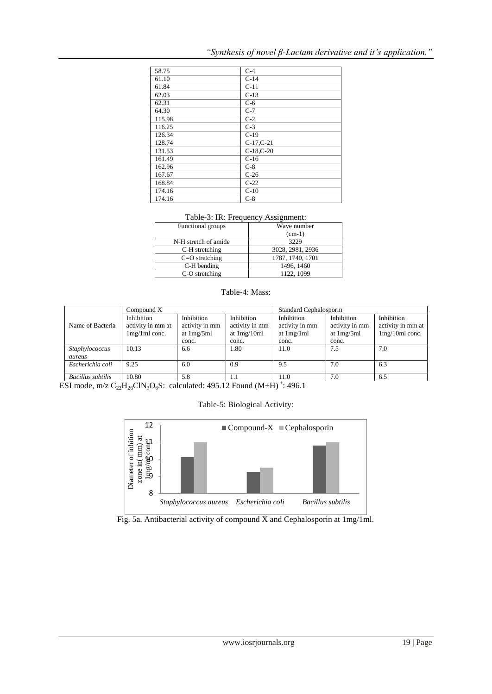|  | "Synthesis of novel $\beta$ -Lactam derivative and it's application." |
|--|-----------------------------------------------------------------------|
|  |                                                                       |

| 58.75  | $C-4$           |
|--------|-----------------|
| 61.10  | $C-14$          |
| 61.84  | $C-11$          |
| 62.03  | $C-13$          |
| 62.31  | $C-6$           |
| 64.30  | $C-7$           |
| 115.98 | $C-2$           |
| 116.25 | $C-3$           |
| 126.34 | $C-19$          |
| 128.74 | $C-17, C-21$    |
| 131.53 | $C-18$ , $C-20$ |
| 161.49 | $C-16$          |
| 162.96 | $C-8$           |
| 167.67 | $C-26$          |
| 168.84 | $C-22$          |
| 174.16 | $C-10$          |
| 174.16 | $C-8$           |

# Table-3: IR: Frequency Assignment:

| Functional groups    | Wave number      |  |
|----------------------|------------------|--|
|                      | $(cm-1)$         |  |
| N-H stretch of amide | 3229             |  |
| C-H stretching       | 3028, 2981, 2936 |  |
| $C=O$ stretching     | 1787, 1740, 1701 |  |
| C-H bending          | 1496, 1460       |  |
| C-O stretching       | 1122, 1099       |  |
|                      |                  |  |

## Table-4: Mass:

|                   | Compound X        |                | Standard Cephalosporin |                |                |                   |
|-------------------|-------------------|----------------|------------------------|----------------|----------------|-------------------|
|                   | Inhibition        | Inhibition     | Inhibition             | Inhibition     | Inhibition     | Inhibition        |
| Name of Bacteria  | activity in mm at | activity in mm | activity in mm         | activity in mm | activity in mm | activity in mm at |
|                   | $1mg/1ml$ conc.   | at $1mg/5ml$   | at $1mg/10ml$          | at $1mg/1ml$   | at $1mg/5ml$   | $1mg/10ml$ conc.  |
|                   |                   | conc.          | conc.                  | conc.          | conc.          |                   |
| Staphylococcus    | 10.13             | 6.6            | 1.80                   | 11.0           | 7.5            | 7.0               |
| aureus            |                   |                |                        |                |                |                   |
| Escherichia coli  | 9.25              | 6.0            | 0.9                    | 9.5            | 7.0            | 6.3               |
| Bacillus subtilis | 10.80             | 5.8            | 1.1                    | 11.0           | 7.0            | 6.5               |

ESI mode, m/z  $C_{22}H_{26}CIN_3O_6S$ : calculated: 495.12 Found (M+H)<sup>+</sup>: 496.1

Table-5: Biological Activity:



# Fig. 5a. Antibacterial activity of compound X and Cephalosporin at 1mg/1ml.